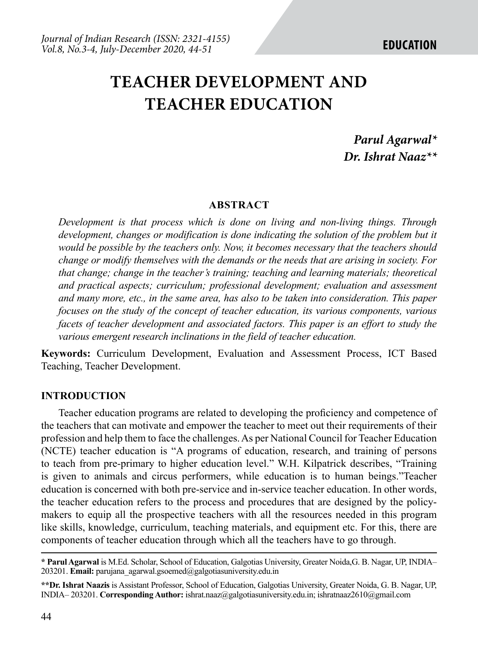# **TEACHER DEVELOPMENT AND TEACHER EDUCATION**

*Parul Agarwal\* Dr. Ishrat Naaz\*\**

#### **ABSTRACT**

*Development is that process which is done on living and non-living things. Through development, changes or modification is done indicating the solution of the problem but it would be possible by the teachers only. Now, it becomes necessary that the teachers should change or modify themselves with the demands or the needs that are arising in society. For that change; change in the teacher's training; teaching and learning materials; theoretical and practical aspects; curriculum; professional development; evaluation and assessment and many more, etc., in the same area, has also to be taken into consideration. This paper focuses on the study of the concept of teacher education, its various components, various facets of teacher development and associated factors. This paper is an effort to study the various emergent research inclinations in the field of teacher education.*

**Keywords:** Curriculum Development, Evaluation and Assessment Process, ICT Based Teaching, Teacher Development.

#### **INTRODUCTION**

Teacher education programs are related to developing the proficiency and competence of the teachers that can motivate and empower the teacher to meet out their requirements of their profession and help them to face the challenges. As per National Council for Teacher Education (NCTE) teacher education is "A programs of education, research, and training of persons to teach from pre-primary to higher education level." W.H. Kilpatrick describes, "Training is given to animals and circus performers, while education is to human beings."Teacher education is concerned with both pre-service and in-service teacher education. In other words, the teacher education refers to the process and procedures that are designed by the policymakers to equip all the prospective teachers with all the resources needed in this program like skills, knowledge, curriculum, teaching materials, and equipment etc. For this, there are components of teacher education through which all the teachers have to go through.

**<sup>\*</sup> Parul Agarwal** is M.Ed. Scholar, School of Education, Galgotias University, Greater Noida,G. B. Nagar, UP, INDIA– 203201. **Email:** parujana\_agarwal.gsoemed@galgotiasuniversity.edu.in

**<sup>\*\*</sup>Dr. Ishrat Naazis** is Assistant Professor, School of Education, Galgotias University, Greater Noida, G. B. Nagar, UP, INDIA– 203201. **Corresponding Author:** ishrat.naaz@galgotiasuniversity.edu.in; ishratnaaz2610@gmail.com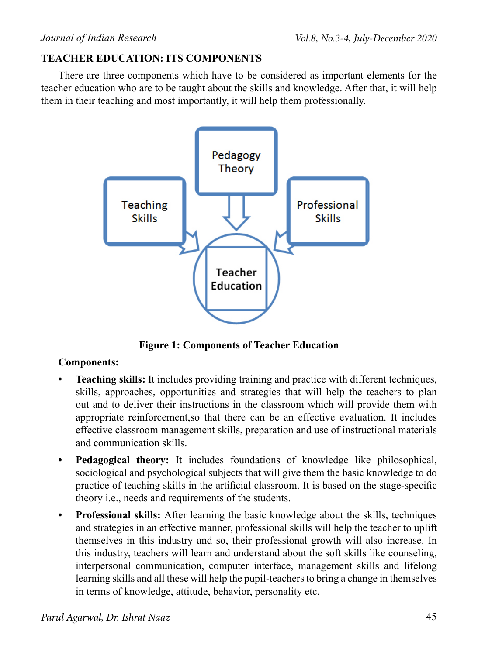# **TEACHER EDUCATION: ITS COMPONENTS**

There are three components which have to be considered as important elements for the teacher education who are to be taught about the skills and knowledge. After that, it will help them in their teaching and most importantly, it will help them professionally.



**Figure 1: Components of Teacher Education**

# **Components:**

- **• Teaching skills:** It includes providing training and practice with different techniques, skills, approaches, opportunities and strategies that will help the teachers to plan out and to deliver their instructions in the classroom which will provide them with appropriate reinforcement,so that there can be an effective evaluation. It includes effective classroom management skills, preparation and use of instructional materials and communication skills.
- **• Pedagogical theory:** It includes foundations of knowledge like philosophical, sociological and psychological subjects that will give them the basic knowledge to do practice of teaching skills in the artificial classroom. It is based on the stage-specific theory i.e., needs and requirements of the students.
- **• Professional skills:** After learning the basic knowledge about the skills, techniques and strategies in an effective manner, professional skills will help the teacher to uplift themselves in this industry and so, their professional growth will also increase. In this industry, teachers will learn and understand about the soft skills like counseling, interpersonal communication, computer interface, management skills and lifelong learning skills and all these will help the pupil-teachers to bring a change in themselves in terms of knowledge, attitude, behavior, personality etc.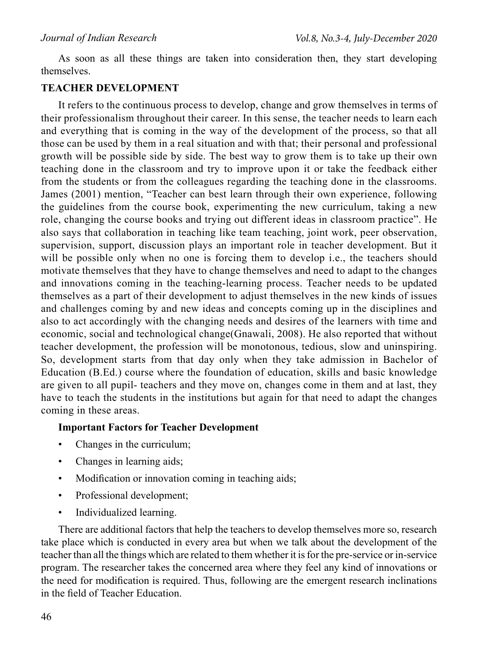As soon as all these things are taken into consideration then, they start developing themselves.

### **TEACHER DEVELOPMENT**

It refers to the continuous process to develop, change and grow themselves in terms of their professionalism throughout their career. In this sense, the teacher needs to learn each and everything that is coming in the way of the development of the process, so that all those can be used by them in a real situation and with that; their personal and professional growth will be possible side by side. The best way to grow them is to take up their own teaching done in the classroom and try to improve upon it or take the feedback either from the students or from the colleagues regarding the teaching done in the classrooms. James (2001) mention, "Teacher can best learn through their own experience, following the guidelines from the course book, experimenting the new curriculum, taking a new role, changing the course books and trying out different ideas in classroom practice". He also says that collaboration in teaching like team teaching, joint work, peer observation, supervision, support, discussion plays an important role in teacher development. But it will be possible only when no one is forcing them to develop i.e., the teachers should motivate themselves that they have to change themselves and need to adapt to the changes and innovations coming in the teaching-learning process. Teacher needs to be updated themselves as a part of their development to adjust themselves in the new kinds of issues and challenges coming by and new ideas and concepts coming up in the disciplines and also to act accordingly with the changing needs and desires of the learners with time and economic, social and technological change(Gnawali, 2008). He also reported that without teacher development, the profession will be monotonous, tedious, slow and uninspiring. So, development starts from that day only when they take admission in Bachelor of Education (B.Ed.) course where the foundation of education, skills and basic knowledge are given to all pupil- teachers and they move on, changes come in them and at last, they have to teach the students in the institutions but again for that need to adapt the changes coming in these areas.

# **Important Factors for Teacher Development**

- Changes in the curriculum;
- Changes in learning aids;
- Modification or innovation coming in teaching aids;
- Professional development;
- Individualized learning.

There are additional factors that help the teachers to develop themselves more so, research take place which is conducted in every area but when we talk about the development of the teacher than all the things which are related to them whether it is for the pre-service or in-service program. The researcher takes the concerned area where they feel any kind of innovations or the need for modification is required. Thus, following are the emergent research inclinations in the field of Teacher Education.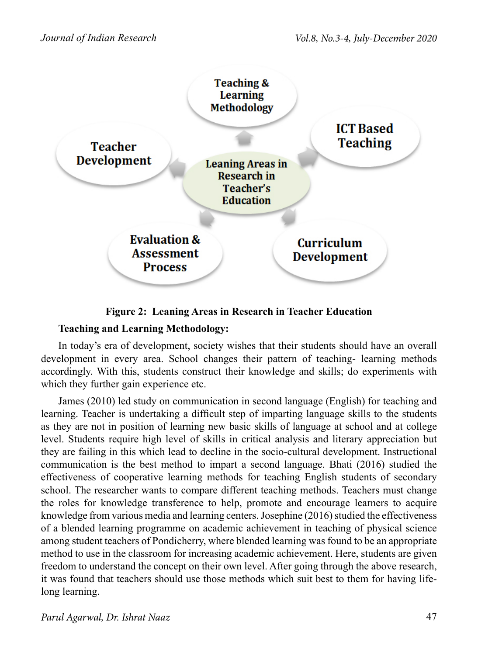

**Figure 2: Leaning Areas in Research in Teacher Education**

# **Teaching and Learning Methodology:**

In today's era of development, society wishes that their students should have an overall development in every area. School changes their pattern of teaching- learning methods accordingly. With this, students construct their knowledge and skills; do experiments with which they further gain experience etc.

James (2010) led study on communication in second language (English) for teaching and learning. Teacher is undertaking a difficult step of imparting language skills to the students as they are not in position of learning new basic skills of language at school and at college level. Students require high level of skills in critical analysis and literary appreciation but they are failing in this which lead to decline in the socio-cultural development. Instructional communication is the best method to impart a second language. Bhati (2016) studied the effectiveness of cooperative learning methods for teaching English students of secondary school. The researcher wants to compare different teaching methods. Teachers must change the roles for knowledge transference to help, promote and encourage learners to acquire knowledge from various media and learning centers. Josephine (2016) studied the effectiveness of a blended learning programme on academic achievement in teaching of physical science among student teachers of Pondicherry, where blended learning was found to be an appropriate method to use in the classroom for increasing academic achievement. Here, students are given freedom to understand the concept on their own level. After going through the above research, it was found that teachers should use those methods which suit best to them for having lifelong learning.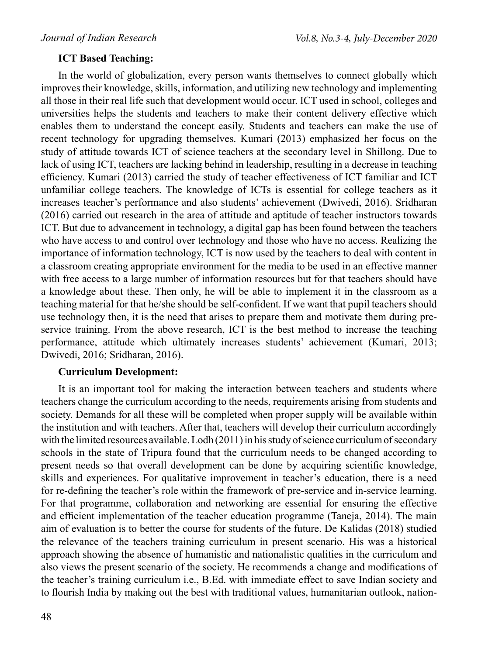#### **ICT Based Teaching:**

In the world of globalization, every person wants themselves to connect globally which improves their knowledge, skills, information, and utilizing new technology and implementing all those in their real life such that development would occur. ICT used in school, colleges and universities helps the students and teachers to make their content delivery effective which enables them to understand the concept easily. Students and teachers can make the use of recent technology for upgrading themselves. Kumari (2013) emphasized her focus on the study of attitude towards ICT of science teachers at the secondary level in Shillong. Due to lack of using ICT, teachers are lacking behind in leadership, resulting in a decrease in teaching efficiency. Kumari (2013) carried the study of teacher effectiveness of ICT familiar and ICT unfamiliar college teachers. The knowledge of ICTs is essential for college teachers as it increases teacher's performance and also students' achievement (Dwivedi, 2016). Sridharan (2016) carried out research in the area of attitude and aptitude of teacher instructors towards ICT. But due to advancement in technology, a digital gap has been found between the teachers who have access to and control over technology and those who have no access. Realizing the importance of information technology, ICT is now used by the teachers to deal with content in a classroom creating appropriate environment for the media to be used in an effective manner with free access to a large number of information resources but for that teachers should have a knowledge about these. Then only, he will be able to implement it in the classroom as a teaching material for that he/she should be self-confident. If we want that pupil teachers should use technology then, it is the need that arises to prepare them and motivate them during preservice training. From the above research, ICT is the best method to increase the teaching performance, attitude which ultimately increases students' achievement (Kumari, 2013; Dwivedi, 2016; Sridharan, 2016).

#### **Curriculum Development:**

It is an important tool for making the interaction between teachers and students where teachers change the curriculum according to the needs, requirements arising from students and society. Demands for all these will be completed when proper supply will be available within the institution and with teachers. After that, teachers will develop their curriculum accordingly with the limited resources available. Lodh (2011) in his study of science curriculum of secondary schools in the state of Tripura found that the curriculum needs to be changed according to present needs so that overall development can be done by acquiring scientific knowledge, skills and experiences. For qualitative improvement in teacher's education, there is a need for re-defining the teacher's role within the framework of pre-service and in-service learning. For that programme, collaboration and networking are essential for ensuring the effective and efficient implementation of the teacher education programme (Taneja, 2014). The main aim of evaluation is to better the course for students of the future. De Kalidas (2018) studied the relevance of the teachers training curriculum in present scenario. His was a historical approach showing the absence of humanistic and nationalistic qualities in the curriculum and also views the present scenario of the society. He recommends a change and modifications of the teacher's training curriculum i.e., B.Ed. with immediate effect to save Indian society and to flourish India by making out the best with traditional values, humanitarian outlook, nation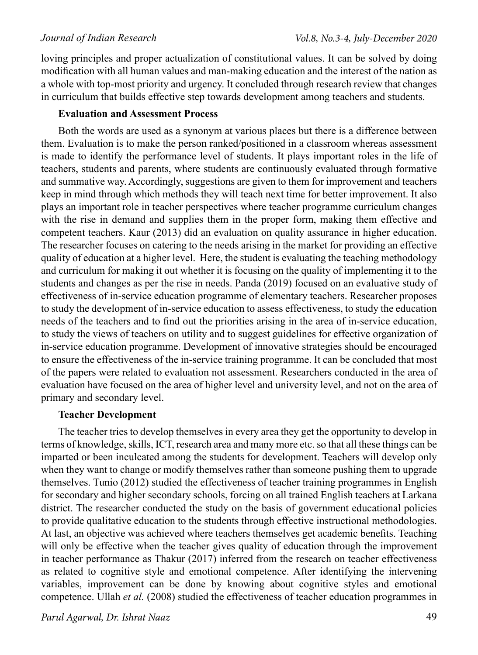loving principles and proper actualization of constitutional values. It can be solved by doing modification with all human values and man-making education and the interest of the nation as a whole with top-most priority and urgency. It concluded through research review that changes in curriculum that builds effective step towards development among teachers and students.

### **Evaluation and Assessment Process**

Both the words are used as a synonym at various places but there is a difference between them. Evaluation is to make the person ranked/positioned in a classroom whereas assessment is made to identify the performance level of students. It plays important roles in the life of teachers, students and parents, where students are continuously evaluated through formative and summative way. Accordingly, suggestions are given to them for improvement and teachers keep in mind through which methods they will teach next time for better improvement. It also plays an important role in teacher perspectives where teacher programme curriculum changes with the rise in demand and supplies them in the proper form, making them effective and competent teachers. Kaur (2013) did an evaluation on quality assurance in higher education. The researcher focuses on catering to the needs arising in the market for providing an effective quality of education at a higher level. Here, the student is evaluating the teaching methodology and curriculum for making it out whether it is focusing on the quality of implementing it to the students and changes as per the rise in needs. Panda (2019) focused on an evaluative study of effectiveness of in-service education programme of elementary teachers. Researcher proposes to study the development of in-service education to assess effectiveness, to study the education needs of the teachers and to find out the priorities arising in the area of in-service education, to study the views of teachers on utility and to suggest guidelines for effective organization of in-service education programme. Development of innovative strategies should be encouraged to ensure the effectiveness of the in-service training programme. It can be concluded that most of the papers were related to evaluation not assessment. Researchers conducted in the area of evaluation have focused on the area of higher level and university level, and not on the area of primary and secondary level.

# **Teacher Development**

The teacher tries to develop themselves in every area they get the opportunity to develop in terms of knowledge, skills, ICT, research area and many more etc. so that all these things can be imparted or been inculcated among the students for development. Teachers will develop only when they want to change or modify themselves rather than someone pushing them to upgrade themselves. Tunio (2012) studied the effectiveness of teacher training programmes in English for secondary and higher secondary schools, forcing on all trained English teachers at Larkana district. The researcher conducted the study on the basis of government educational policies to provide qualitative education to the students through effective instructional methodologies. At last, an objective was achieved where teachers themselves get academic benefits. Teaching will only be effective when the teacher gives quality of education through the improvement in teacher performance as Thakur (2017) inferred from the research on teacher effectiveness as related to cognitive style and emotional competence. After identifying the intervening variables, improvement can be done by knowing about cognitive styles and emotional competence. Ullah *et al.* (2008) studied the effectiveness of teacher education programmes in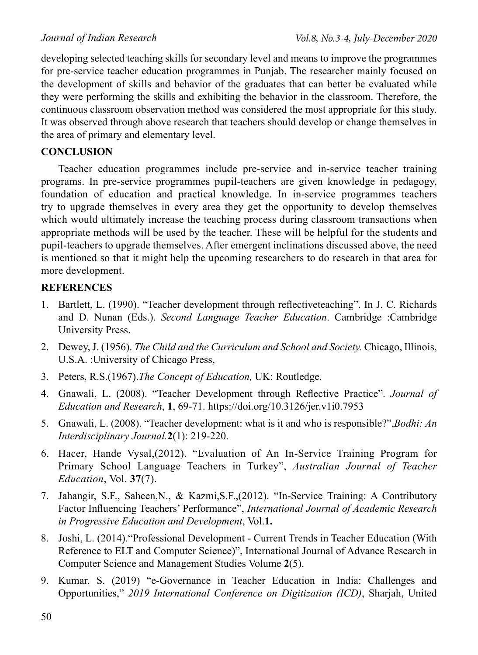developing selected teaching skills for secondary level and means to improve the programmes for pre-service teacher education programmes in Punjab. The researcher mainly focused on the development of skills and behavior of the graduates that can better be evaluated while they were performing the skills and exhibiting the behavior in the classroom. Therefore, the continuous classroom observation method was considered the most appropriate for this study. It was observed through above research that teachers should develop or change themselves in the area of primary and elementary level.

# **CONCLUSION**

Teacher education programmes include pre-service and in-service teacher training programs. In pre-service programmes pupil-teachers are given knowledge in pedagogy, foundation of education and practical knowledge. In in-service programmes teachers try to upgrade themselves in every area they get the opportunity to develop themselves which would ultimately increase the teaching process during classroom transactions when appropriate methods will be used by the teacher. These will be helpful for the students and pupil-teachers to upgrade themselves. After emergent inclinations discussed above, the need is mentioned so that it might help the upcoming researchers to do research in that area for more development.

# **REFERENCES**

- 1. Bartlett, L. (1990). "Teacher development through reflectiveteaching". In J. C. Richards and D. Nunan (Eds.). *Second Language Teacher Education*. Cambridge :Cambridge University Press.
- 2. Dewey, J. (1956). *The Child and the Curriculum and School and Society.* Chicago, Illinois, U.S.A. :University of Chicago Press,
- 3. Peters, R.S.(1967).*The Concept of Education,* UK: Routledge.
- 4. Gnawali, L. (2008). "Teacher Development through Reflective Practice". *Journal of Education and Research*, **1**, 69-71. https://doi.org/10.3126/jer.v1i0.7953
- 5. Gnawali, L. (2008). "Teacher development: what is it and who is responsible?",*Bodhi: An Interdisciplinary Journal.***2**(1): 219-220.
- 6. Hacer, Hande Vysal,(2012). "Evaluation of An In-Service Training Program for Primary School Language Teachers in Turkey", *Australian Journal of Teacher Education*, Vol. **37**(7).
- 7. Jahangir, S.F., Saheen,N., & Kazmi,S.F.,(2012). "In-Service Training: A Contributory Factor Influencing Teachers' Performance", *International Journal of Academic Research in Progressive Education and Development*, Vol.**1.**
- 8. Joshi, L. (2014)."Professional Development Current Trends in Teacher Education (With Reference to ELT and Computer Science)", International Journal of Advance Research in Computer Science and Management Studies Volume **2**(5).
- 9. Kumar, S. (2019) "e-Governance in Teacher Education in India: Challenges and Opportunities," *2019 International Conference on Digitization (ICD)*, Sharjah, United